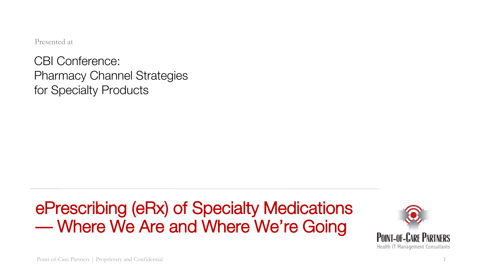Presented at

CBI Conference: Pharmacy Channel Strategies for Specialty Products

## ePrescribing (eRx) of Specialty Medications — Where We Are and Where We're Going

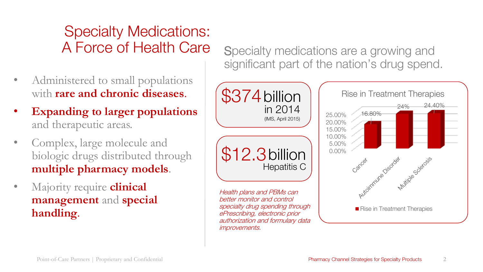## Specialty Medications: A Force of Health Care

- Administered to small populations with **rare and chronic diseases**.
- **Expanding to larger populations**  and therapeutic areas.
- Complex, large molecule and biologic drugs distributed through **multiple pharmacy models**.
- Majority require **clinical management** and **special handling**.

Specialty medications are a growing and significant part of the nation's drug spend.

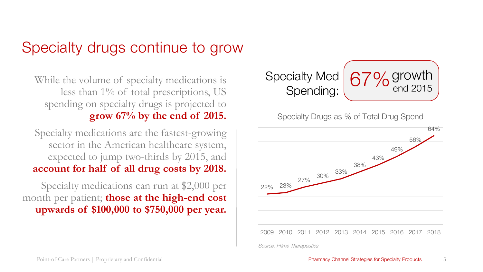## Specialty drugs continue to grow

While the volume of specialty medications is less than 1% of total prescriptions, US spending on specialty drugs is projected to **grow 67% by the end of 2015.**

Specialty medications are the fastest-growing sector in the American healthcare system, expected to jump two-thirds by 2015, and **account for half of all drug costs by 2018.**

Specialty medications can run at \$2,000 per month per patient; **those at the high-end cost upwards of \$100,000 to \$750,000 per year.** 



Specialty Drugs as % of Total Drug Spend

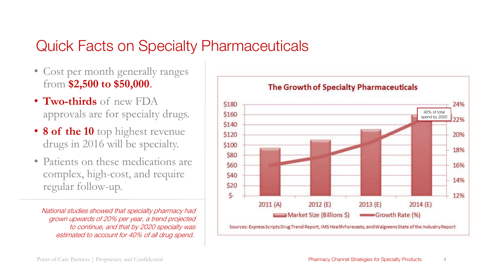### Quick Facts on Specialty Pharmaceuticals

- Cost per month generally ranges from **\$2,500 to \$50,000**.
- **Two-thirds** of new FDA approvals are for specialty drugs.
- **8 of the 10** top highest revenue drugs in 2016 will be specialty.
- Patients on these medications are complex, high-cost, and require regular follow-up.

National studies showed that specialty pharmacy had grown upwards of 20% per year, a trend projected to continue, and that by 2020 specialty was estimated to account for 40% of all drug spend.

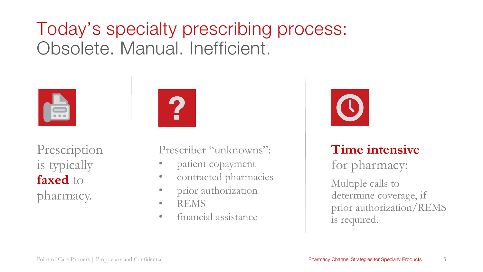# Today's specialty prescribing process: Obsolete. Manual. Inefficient.



Prescription is typically **faxed** to pharmacy.



Prescriber "unknowns":

- patient copayment
- contracted pharmacies
- prior authorization
- REMS
- financial assistance



**Time intensive**  for pharmacy:

Multiple calls to determine coverage, if prior authorization/REMS is required.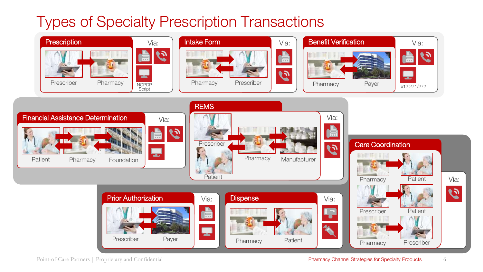## Types of Specialty Prescription Transactions

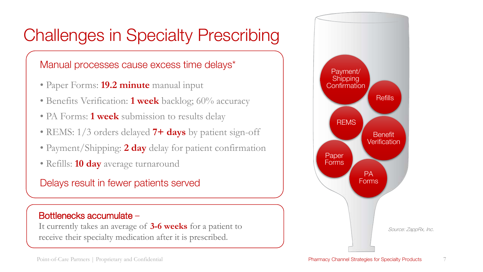# Challenges in Specialty Prescribing

#### Manual processes cause excess time delays\*

- Paper Forms: **19.2 minute** manual input
- Benefits Verification: **1 week** backlog; 60% accuracy
- PA Forms: **1 week** submission to results delay
- REMS: 1/3 orders delayed **7+ days** by patient sign-off
- Payment/Shipping: **2 day** delay for patient confirmation
- Refills: **10 day** average turnaround

Delays result in fewer patients served

#### Bottlenecks accumulate –

It currently takes an average of **3-6 weeks** for a patient to receive their specialty medication after it is prescribed.

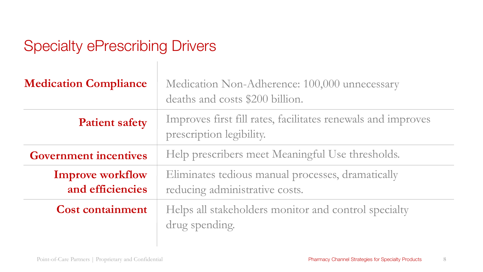## Specialty ePrescribing Drivers

| <b>Medication Compliance</b>                | Medication Non-Adherence: 100,000 unnecessary<br>deaths and costs \$200 billion.         |
|---------------------------------------------|------------------------------------------------------------------------------------------|
| <b>Patient safety</b>                       | Improves first fill rates, facilitates renewals and improves<br>prescription legibility. |
| <b>Government incentives</b>                | Help prescribers meet Meaningful Use thresholds.                                         |
| <b>Improve workflow</b><br>and efficiencies | Eliminates tedious manual processes, dramatically<br>reducing administrative costs.      |
| <b>Cost containment</b>                     | Helps all stakeholders monitor and control specialty<br>drug spending.                   |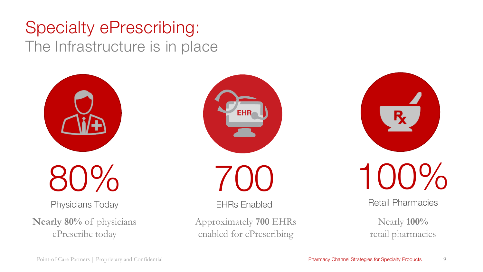## Specialty ePrescribing: The Infrastructure is in place

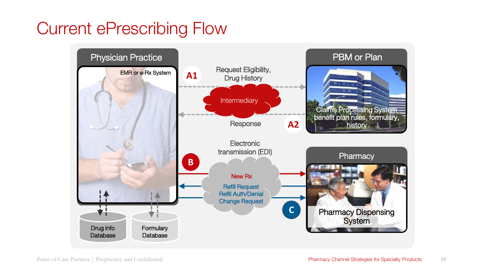## Current ePrescribing Flow

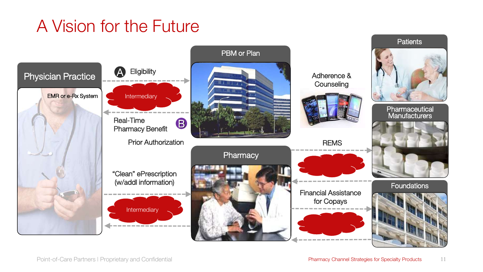# A Vision for the Future

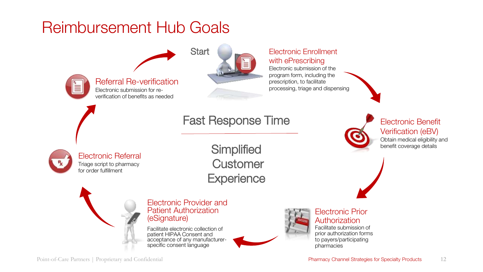## Reimbursement Hub Goals

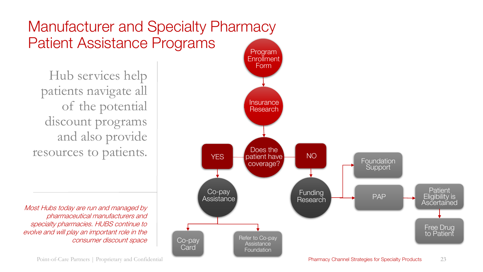## Manufacturer and Specialty Pharmacy Patient Assistance Programs

Hub services help patients navigate all of the potential discount programs and also provide resources to patients.

Most Hubs today are run and managed by pharmaceutical manufacturers and specialty pharmacies. HUBS continue to evolve and will play an important role in the consumer discount space



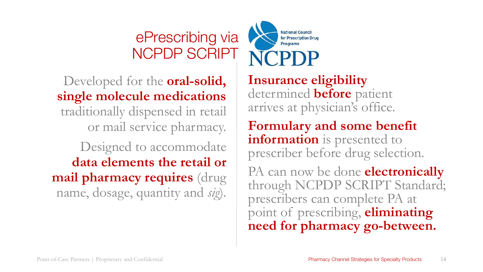## ePrescribing via NCPDP SCRIPT



Developed for the **oral-solid, single molecule medications**  traditionally dispensed in retail or mail service pharmacy. Designed to accommodate **data elements the retail or mail pharmacy requires** (drug name, dosage, quantity and *sig*).

**Insurance eligibility**  determined **before** patient arrives at physician's office.

**Formulary and some benefit information** is presented to prescriber before drug selection.

PA can now be done **electronically** through NCPDP SCRIPT Standard; prescribers can complete PA at point of prescribing, **eliminating need for pharmacy go-between.**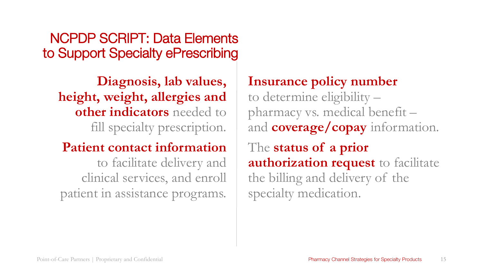NCPDP SCRIPT: Data Elements to Support Specialty ePrescribing

**Diagnosis, lab values, height, weight, allergies and other indicators** needed to fill specialty prescription.

### **Patient contact information**  to facilitate delivery and

clinical services, and enroll patient in assistance programs.

### **Insurance policy number**

to determine eligibility – pharmacy vs. medical benefit – and **coverage/copay** information. The **status of a prior authorization request** to facilitate the billing and delivery of the specialty medication.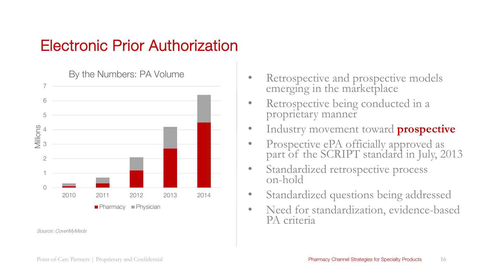## Electronic Prior Authorization



Source: CoverMyMeds

- Retrospective and prospective models emerging in the marketplace
- Retrospective being conducted in a proprietary manner
- Industry movement toward **prospective**
- Prospective ePA officially approved as part of the SCRIPT standard in July, 2013
- Standardized retrospective process on-hold
- Standardized questions being addressed
- Need for standardization, evidence-based PA criteria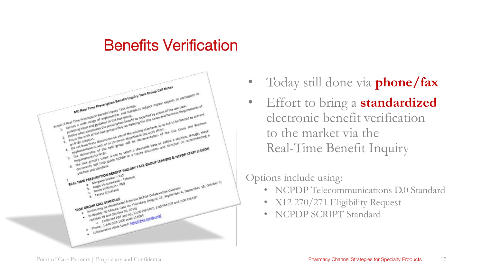### Benefits Verification



- Today still done via **phone/fax**
- Effort to bring a **standardized** electronic benefit verification to the market via the Real-Time Benefit Inquiry

### Options include using:

- NCPDP Telecommunications D.0 Standard
- X12 270/271 Eligibility Request
- NCPDP SCRIPT Standard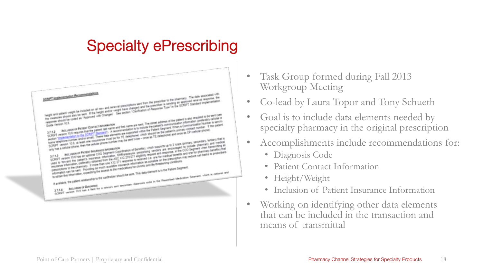## Specialty ePrescribing



- Task Group formed during Fall 2013 Workgroup Meeting
- Co-lead by Laura Topor and Tony Schueth
- Goal is to include data elements needed by specialty pharmacy in the original prescription
- Accomplishments include recommendations for:
	- Diagnosis Code
	- Patient Contact Information
	- Height/Weight
	- Inclusion of Patient Insurance Information
- Working on identifying other data elements that can be included in the transaction and means of transmittal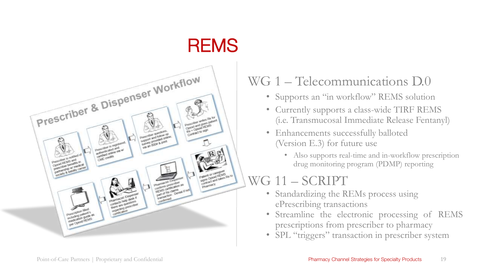

### WG 1 – Telecommunications D.0

- Supports an "in workflow" REMS solution
- Currently supports a class-wide TIRF REMS (i.e. Transmucosal Immediate Release Fentanyl)
- Enhancements successfully balloted (Version E.3) for future use
	- Also supports real-time and in-workflow prescription drug monitoring program (PDMP) reporting

### WG 11 – SCRIPT

- Standardizing the REMs process using ePrescribing transactions
- Streamline the electronic processing of REMS prescriptions from prescriber to pharmacy
- SPL "triggers" transaction in prescriber system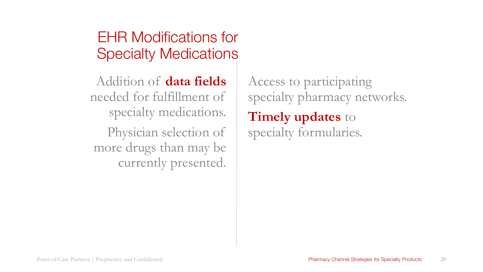## EHR Modifications for Specialty Medications

Addition of **data fields**  needed for fulfillment of specialty medications. Physician selection of

more drugs than may be currently presented.

Access to participating specialty pharmacy networks. **Timely updates** to specialty formularies.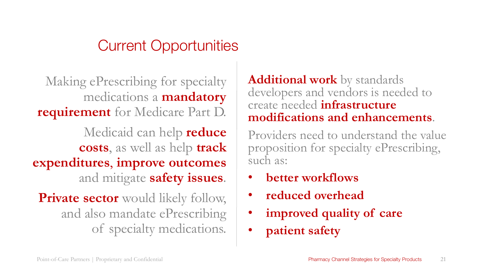## Current Opportunities

Making ePrescribing for specialty medications a **mandatory requirement** for Medicare Part D.

Medicaid can help **reduce costs**, as well as help **track expenditures**, **improve outcomes**  and mitigate **safety issues**.

**Private sector** would likely follow, and also mandate ePrescribing of specialty medications.

**Additional work** by standards developers and vendors is needed to create needed **infrastructure modifications and enhancements**.

Providers need to understand the value proposition for specialty ePrescribing, such as:

- **better workflows**
- **reduced overhead**
- **improved quality of care**
- **patient safety**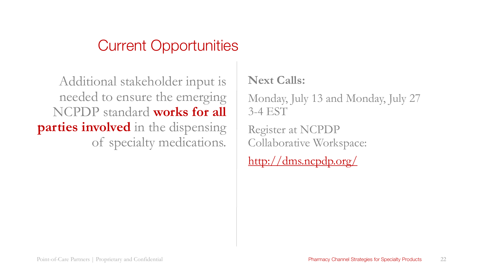### Current Opportunities

Additional stakeholder input is needed to ensure the emerging NCPDP standard **works for all parties involved** in the dispensing of specialty medications.

### **Next Calls:**

Monday, July 13 and Monday, July 27 3-4 EST

Register at NCPDP Collaborative Workspace:

<http://dms.ncpdp.org/>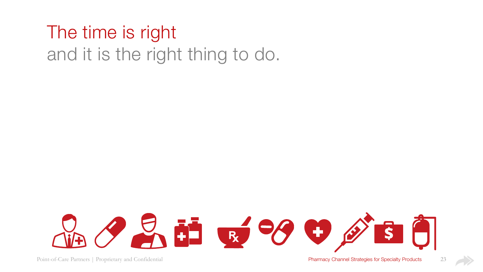# The time is right and it is the right thing to do.